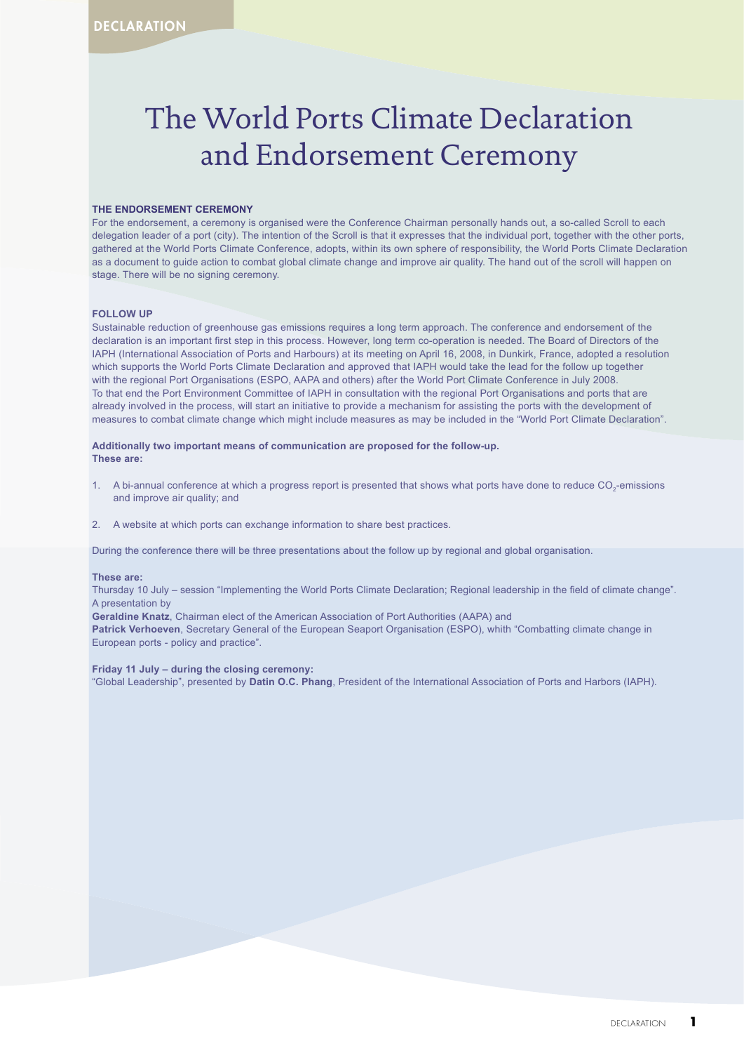## The World Ports Climate Declaration and Endorsement Ceremony

### **THE ENDORSEMENT CEREMONY**

For the endorsement, a ceremony is organised were the Conference Chairman personally hands out, a so-called Scroll to each delegation leader of a port (city). The intention of the Scroll is that it expresses that the individual port, together with the other ports, gathered at the World Ports Climate Conference, adopts, within its own sphere of responsibility, the World Ports Climate Declaration as a document to guide action to combat global climate change and improve air quality. The hand out of the scroll will happen on stage. There will be no signing ceremony.

### **FOLLOW UP**

Sustainable reduction of greenhouse gas emissions requires a long term approach. The conference and endorsement of the declaration is an important first step in this process. However, long term co-operation is needed. The Board of Directors of the IAPH (International Association of Ports and Harbours) at its meeting on April 16, 2008, in Dunkirk, France, adopted a resolution which supports the World Ports Climate Declaration and approved that IAPH would take the lead for the follow up together with the regional Port Organisations (ESPO, AAPA and others) after the World Port Climate Conference in July 2008. To that end the Port Environment Committee of IAPH in consultation with the regional Port Organisations and ports that are already involved in the process, will start an initiative to provide a mechanism for assisting the ports with the development of measures to combat climate change which might include measures as may be included in the "World Port Climate Declaration".

### **Additionally two important means of communication are proposed for the follow-up. These are:**

- 1. A bi-annual conference at which a progress report is presented that shows what ports have done to reduce CO<sub>2</sub>-emissions and improve air quality; and
- 2. A website at which ports can exchange information to share best practices.

During the conference there will be three presentations about the follow up by regional and global organisation.

#### **These are:**

Thursday 10 July – session "Implementing the World Ports Climate Declaration; Regional leadership in the field of climate change". A presentation by

**Geraldine Knatz**, Chairman elect of the American Association of Port Authorities (AAPA) and **Patrick Verhoeven**, Secretary General of the European Seaport Organisation (ESPO), whith "Combatting climate change in European ports - policy and practice".

#### **Friday 11 July – during the closing ceremony:**

"Global Leadership", presented by **Datin O.C. Phang**, President of the International Association of Ports and Harbors (IAPH).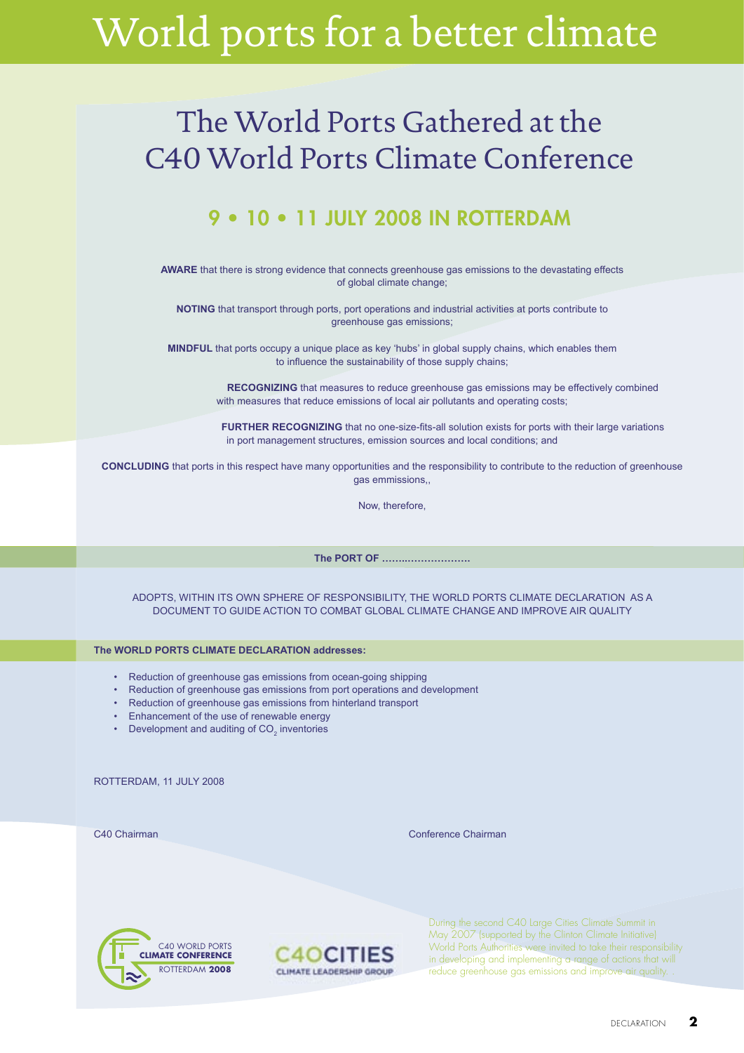# World ports for a better climate

## The World Ports Gathered at the C40 World Ports Climate Conference

### 9 • 10 • 11 JULY 2008 IN ROTTERDAM

**AWARE** that there is strong evidence that connects greenhouse gas emissions to the devastating effects of global climate change;

**NOTING** that transport through ports, port operations and industrial activities at ports contribute to greenhouse gas emissions;

**MINDFUL** that ports occupy a unique place as key 'hubs' in global supply chains, which enables them to influence the sustainability of those supply chains;

> **RECOGNIZING** that measures to reduce greenhouse gas emissions may be effectively combined with measures that reduce emissions of local air pollutants and operating costs:

**FURTHER RECOGNIZING** that no one-size-fits-all solution exists for ports with their large variations in port management structures, emission sources and local conditions; and

**CONCLUDING** that ports in this respect have many opportunities and the responsibility to contribute to the reduction of greenhouse gas emmissions

Now, therefore,

**The PORT OF ……..……………….**

ADOPTS, WITHIN ITS OWN SPHERE OF RESPONSIBILITY, THE WORLD PORTS CLIMATE DECLARATION AS A DOCUMENT TO GUIDE ACTION TO COMBAT GLOBAL CLIMATE CHANGE AND IMPROVE AIR QUALITY

### **The WORLD PORTS CLIMATE DECLARATION addresses:**

- Reduction of greenhouse gas emissions from ocean-going shipping
- Reduction of greenhouse gas emissions from port operations and development
- Reduction of greenhouse gas emissions from hinterland transport
- Enhancement of the use of renewable energy
- Development and auditing of  $CO<sub>2</sub>$  inventories

ROTTERDAM, 11 JULY 2008

C40 Chairman Conference Chairman





During the second C40 Large Cities Climate Summit in May 2007 (supported by the Clinton Climate Initiative) World Ports Authorities were invited to take their responsibility in developing and implementing a range of actions that will reduce greenhouse gas emissions and improve air quality.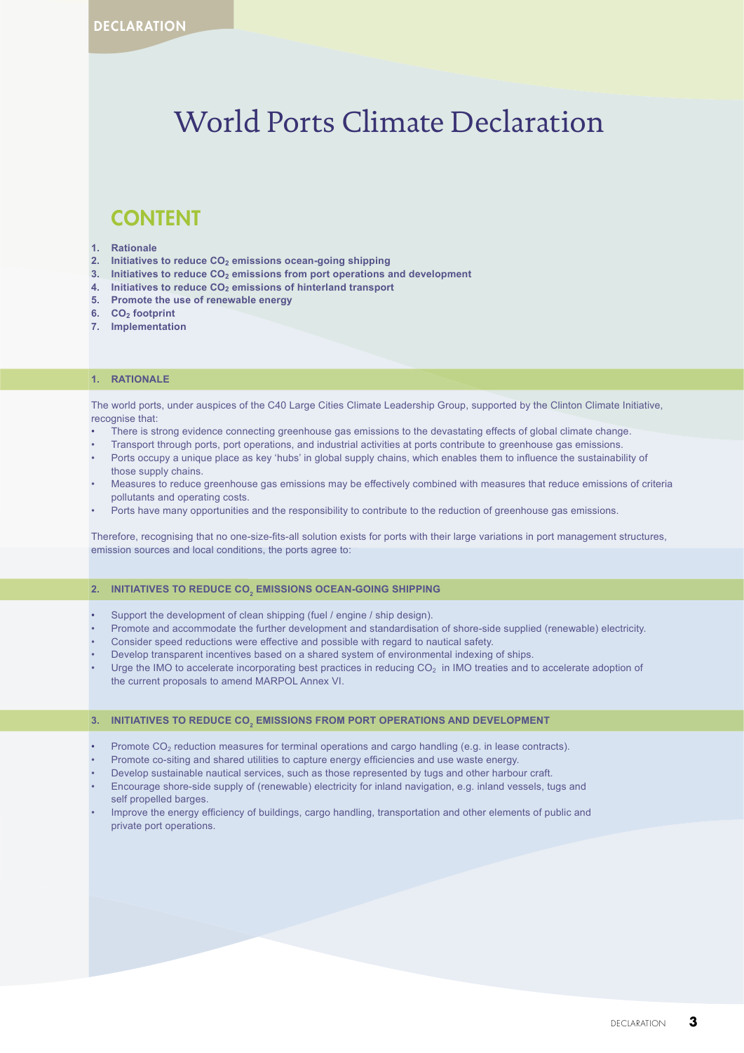### World Ports Climate Declaration

### CONTENT

#### **1. Rationale**

- 2. Initiatives to reduce CO<sub>2</sub> emissions ocean-going shipping
- **3.** Initiatives to reduce CO<sub>2</sub> emissions from port operations and development
- **4.** Initiatives to reduce CO<sub>2</sub> emissions of hinterland transport
- **5. Promote the use of renewable energy**
- **6.** CO<sub>2</sub> footprint
- **7. Implementation**

### **1. RATIONALE**

The world ports, under auspices of the C40 Large Cities Climate Leadership Group, supported by the Clinton Climate Initiative, recognise that:

- There is strong evidence connecting greenhouse gas emissions to the devastating effects of global climate change.
- Transport through ports, port operations, and industrial activities at ports contribute to greenhouse gas emissions.
- Ports occupy a unique place as key 'hubs' in global supply chains, which enables them to influence the sustainability of those supply chains.
- Measures to reduce greenhouse gas emissions may be effectively combined with measures that reduce emissions of criteria pollutants and operating costs.
- Ports have many opportunities and the responsibility to contribute to the reduction of greenhouse gas emissions.

Therefore, recognising that no one-size-fits-all solution exists for ports with their large variations in port management structures, emission sources and local conditions, the ports agree to:

### 2. INITIATIVES TO REDUCE CO<sub>2</sub> EMISSIONS OCEAN-GOING SHIPPING

- Support the development of clean shipping (fuel / engine / ship design).
- Promote and accommodate the further development and standardisation of shore-side supplied (renewable) electricity.
- Consider speed reductions were effective and possible with regard to nautical safety.
- Develop transparent incentives based on a shared system of environmental indexing of ships.
- Urge the IMO to accelerate incorporating best practices in reducing  $CO<sub>2</sub>$  in IMO treaties and to accelerate adoption of the current proposals to amend MARPOL Annex VI.

### 3. INITIATIVES TO REDUCE CO<sub>2</sub> EMISSIONS FROM PORT OPERATIONS AND DEVELOPMENT

- Promote  $CO<sub>2</sub>$  reduction measures for terminal operations and cargo handling (e.g. in lease contracts).
- Promote co-siting and shared utilities to capture energy efficiencies and use waste energy.
- Develop sustainable nautical services, such as those represented by tugs and other harbour craft.
- Encourage shore-side supply of (renewable) electricity for inland navigation, e.g. inland vessels, tugs and self propelled barges.
- Improve the energy efficiency of buildings, cargo handling, transportation and other elements of public and private port operations.